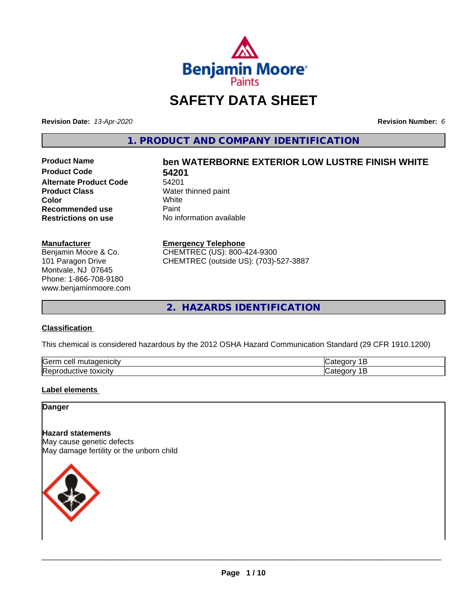

## **SAFETY DATA SHEET**

**Revision Date:** *13-Apr-2020* **Revision Number:** *6*

**1. PRODUCT AND COMPANY IDENTIFICATION**

**Product Code 54201 Alternate Product Code** 54201<br>**Product Class** Water **Color** White White **Recommended use** Paint<br> **Restrictions on use** No inf

# **Product Name ben WATERBORNE EXTERIOR LOW LUSTRE FINISH WHITE**

**Water thinned paint**<br>White **No information available** 

#### **Manufacturer**

Benjamin Moore & Co. 101 Paragon Drive Montvale, NJ 07645 Phone: 1-866-708-9180 www.benjaminmoore.com

#### **Emergency Telephone**

CHEMTREC (US): 800-424-9300 CHEMTREC (outside US): (703)-527-3887

**2. HAZARDS IDENTIFICATION**

#### **Classification**

This chemical is considered hazardous by the 2012 OSHA Hazard Communication Standard (29 CFR 1910.1200)

| Gern<br>.<br>cell<br>л |  |
|------------------------|--|
| lRer<br>.<br>эхкл      |  |

#### **Label elements**

**Danger**

## **Hazard statements**

May cause genetic defects May damage fertility or the unborn child

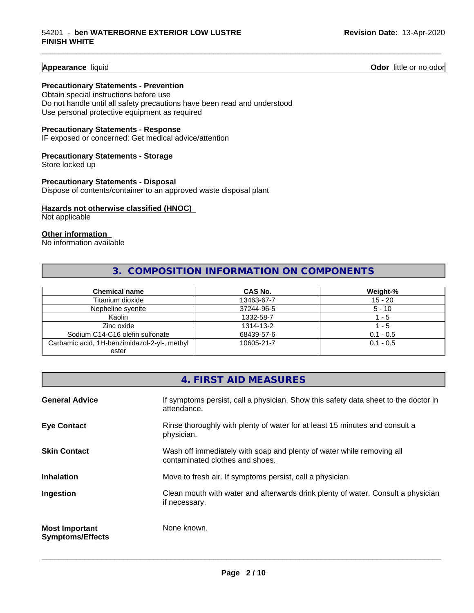#### **Appearance** liquid

**Odor** little or no odor

#### **Precautionary Statements - Prevention**

Obtain special instructions before use Do not handle until all safety precautions have been read and understood Use personal protective equipment as required

#### **Precautionary Statements - Response**

IF exposed or concerned: Get medical advice/attention

## **Precautionary Statements - Storage**

Store locked up

#### **Precautionary Statements - Disposal** Dispose of contents/container to an approved waste disposal plant

#### **Hazards not otherwise classified (HNOC)**

Not applicable

#### **Other information**

No information available

## **3. COMPOSITION INFORMATION ON COMPONENTS**

\_\_\_\_\_\_\_\_\_\_\_\_\_\_\_\_\_\_\_\_\_\_\_\_\_\_\_\_\_\_\_\_\_\_\_\_\_\_\_\_\_\_\_\_\_\_\_\_\_\_\_\_\_\_\_\_\_\_\_\_\_\_\_\_\_\_\_\_\_\_\_\_\_\_\_\_\_\_\_\_\_\_\_\_\_\_\_\_\_\_\_\_\_

| <b>Chemical name</b>                         | CAS No.    | Weight-%    |
|----------------------------------------------|------------|-------------|
| Titanium dioxide                             | 13463-67-7 | $15 - 20$   |
| Nepheline syenite                            | 37244-96-5 | $5 - 10$    |
| Kaolin                                       | 1332-58-7  | - 5         |
| Zinc oxide                                   | 1314-13-2  | - 5         |
| Sodium C14-C16 olefin sulfonate              | 68439-57-6 | $0.1 - 0.5$ |
| Carbamic acid, 1H-benzimidazol-2-yl-, methyl | 10605-21-7 | $0.1 - 0.5$ |
| ester                                        |            |             |

|                                                  | 4. FIRST AID MEASURES                                                                                    |
|--------------------------------------------------|----------------------------------------------------------------------------------------------------------|
| <b>General Advice</b>                            | If symptoms persist, call a physician. Show this safety data sheet to the doctor in<br>attendance.       |
| <b>Eye Contact</b>                               | Rinse thoroughly with plenty of water for at least 15 minutes and consult a<br>physician.                |
| <b>Skin Contact</b>                              | Wash off immediately with soap and plenty of water while removing all<br>contaminated clothes and shoes. |
| <b>Inhalation</b>                                | Move to fresh air. If symptoms persist, call a physician.                                                |
| Ingestion                                        | Clean mouth with water and afterwards drink plenty of water. Consult a physician<br>if necessary.        |
| <b>Most Important</b><br><b>Symptoms/Effects</b> | None known.                                                                                              |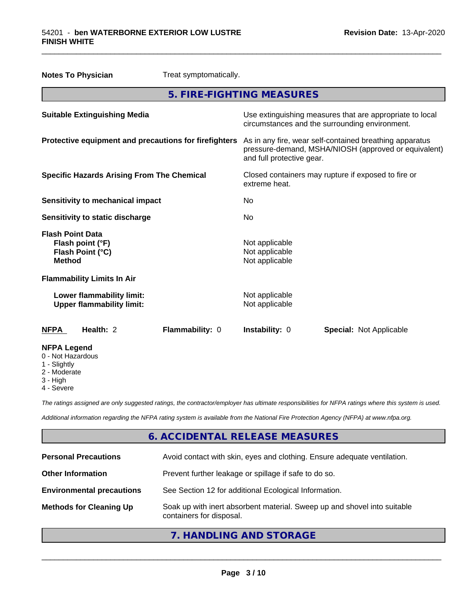|                                                                         | <b>Notes To Physician</b>                                     | Treat symptomatically.                                |                                                    |                                                                                                                 |
|-------------------------------------------------------------------------|---------------------------------------------------------------|-------------------------------------------------------|----------------------------------------------------|-----------------------------------------------------------------------------------------------------------------|
|                                                                         |                                                               | 5. FIRE-FIGHTING MEASURES                             |                                                    |                                                                                                                 |
|                                                                         | <b>Suitable Extinguishing Media</b>                           |                                                       |                                                    | Use extinguishing measures that are appropriate to local<br>circumstances and the surrounding environment.      |
|                                                                         |                                                               | Protective equipment and precautions for firefighters | and full protective gear.                          | As in any fire, wear self-contained breathing apparatus<br>pressure-demand, MSHA/NIOSH (approved or equivalent) |
|                                                                         | <b>Specific Hazards Arising From The Chemical</b>             |                                                       | extreme heat.                                      | Closed containers may rupture if exposed to fire or                                                             |
|                                                                         | <b>Sensitivity to mechanical impact</b>                       |                                                       | No                                                 |                                                                                                                 |
|                                                                         | Sensitivity to static discharge                               |                                                       | No.                                                |                                                                                                                 |
| <b>Flash Point Data</b><br><b>Method</b>                                | Flash point (°F)<br>Flash Point (°C)                          |                                                       | Not applicable<br>Not applicable<br>Not applicable |                                                                                                                 |
|                                                                         | <b>Flammability Limits In Air</b>                             |                                                       |                                                    |                                                                                                                 |
|                                                                         | Lower flammability limit:<br><b>Upper flammability limit:</b> |                                                       | Not applicable<br>Not applicable                   |                                                                                                                 |
| <b>NFPA</b>                                                             | Health: 2                                                     | Flammability: 0                                       | <b>Instability: 0</b>                              | <b>Special: Not Applicable</b>                                                                                  |
| <b>NFPA Legend</b><br>0 - Not Hazardous<br>1 - Slightly<br>2 - Moderate |                                                               |                                                       |                                                    |                                                                                                                 |

\_\_\_\_\_\_\_\_\_\_\_\_\_\_\_\_\_\_\_\_\_\_\_\_\_\_\_\_\_\_\_\_\_\_\_\_\_\_\_\_\_\_\_\_\_\_\_\_\_\_\_\_\_\_\_\_\_\_\_\_\_\_\_\_\_\_\_\_\_\_\_\_\_\_\_\_\_\_\_\_\_\_\_\_\_\_\_\_\_\_\_\_\_

- 3 High
- 4 Severe

*The ratings assigned are only suggested ratings, the contractor/employer has ultimate responsibilities for NFPA ratings where this system is used.*

*Additional information regarding the NFPA rating system is available from the National Fire Protection Agency (NFPA) at www.nfpa.org.*

## **6. ACCIDENTAL RELEASE MEASURES**

| <b>Personal Precautions</b>      | Avoid contact with skin, eyes and clothing. Ensure adequate ventilation.                             |
|----------------------------------|------------------------------------------------------------------------------------------------------|
| <b>Other Information</b>         | Prevent further leakage or spillage if safe to do so.                                                |
| <b>Environmental precautions</b> | See Section 12 for additional Ecological Information.                                                |
| <b>Methods for Cleaning Up</b>   | Soak up with inert absorbent material. Sweep up and shovel into suitable<br>containers for disposal. |

**7. HANDLING AND STORAGE**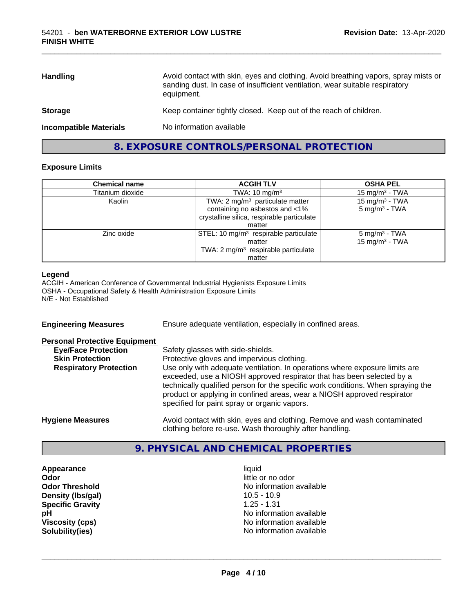| <b>Handling</b>               | Avoid contact with skin, eyes and clothing. Avoid breathing vapors, spray mists or<br>sanding dust. In case of insufficient ventilation, wear suitable respiratory<br>equipment. |
|-------------------------------|----------------------------------------------------------------------------------------------------------------------------------------------------------------------------------|
| <b>Storage</b>                | Keep container tightly closed. Keep out of the reach of children.                                                                                                                |
| <b>Incompatible Materials</b> | No information available                                                                                                                                                         |

\_\_\_\_\_\_\_\_\_\_\_\_\_\_\_\_\_\_\_\_\_\_\_\_\_\_\_\_\_\_\_\_\_\_\_\_\_\_\_\_\_\_\_\_\_\_\_\_\_\_\_\_\_\_\_\_\_\_\_\_\_\_\_\_\_\_\_\_\_\_\_\_\_\_\_\_\_\_\_\_\_\_\_\_\_\_\_\_\_\_\_\_\_

## **8. EXPOSURE CONTROLS/PERSONAL PROTECTION**

#### **Exposure Limits**

| <b>Chemical name</b> | <b>ACGIH TLV</b>                                  | <b>OSHA PEL</b>            |
|----------------------|---------------------------------------------------|----------------------------|
| Titanium dioxide     | TWA: $10 \text{ mg/m}^3$                          | 15 mg/m $3$ - TWA          |
| Kaolin               | TWA: $2 \text{ mg/m}^3$ particulate matter        | 15 mg/m <sup>3</sup> - TWA |
|                      | containing no asbestos and <1%                    | $5 \text{ mg/m}^3$ - TWA   |
|                      | crystalline silica, respirable particulate        |                            |
|                      | matter                                            |                            |
| Zinc oxide           | STEL: 10 mg/m <sup>3</sup> respirable particulate | 5 mg/m <sup>3</sup> - TWA  |
|                      | matter                                            | 15 mg/m $3$ - TWA          |
|                      | TWA: 2 mg/m <sup>3</sup> respirable particulate   |                            |
|                      | matter                                            |                            |

#### **Legend**

ACGIH - American Conference of Governmental Industrial Hygienists Exposure Limits OSHA - Occupational Safety & Health Administration Exposure Limits N/E - Not Established

| <b>Engineering Measures</b>          | Ensure adequate ventilation, especially in confined areas.                                                                                                                                                                                                                                                                                                          |
|--------------------------------------|---------------------------------------------------------------------------------------------------------------------------------------------------------------------------------------------------------------------------------------------------------------------------------------------------------------------------------------------------------------------|
| <b>Personal Protective Equipment</b> |                                                                                                                                                                                                                                                                                                                                                                     |
| <b>Eye/Face Protection</b>           | Safety glasses with side-shields.                                                                                                                                                                                                                                                                                                                                   |
| <b>Skin Protection</b>               | Protective gloves and impervious clothing.                                                                                                                                                                                                                                                                                                                          |
| <b>Respiratory Protection</b>        | Use only with adequate ventilation. In operations where exposure limits are<br>exceeded, use a NIOSH approved respirator that has been selected by a<br>technically qualified person for the specific work conditions. When spraying the<br>product or applying in confined areas, wear a NIOSH approved respirator<br>specified for paint spray or organic vapors. |
| <b>Hygiene Measures</b>              | Avoid contact with skin, eyes and clothing. Remove and wash contaminated<br>clothing before re-use. Wash thoroughly after handling.                                                                                                                                                                                                                                 |

### **9. PHYSICAL AND CHEMICAL PROPERTIES**

**Appearance** liquid **Odor**<br> **Odor Threshold**<br> **Odor Threshold**<br> **Odor Threshold**<br> **Odor Threshold Density (Ibs/gal)** 10.5 - 10.9<br> **Specific Gravity** 1.25 - 1.31 **Specific Gravity** 

No information available<br>10.5 - 10.9 **pH** No information available **Viscosity (cps)** No information available **Solubility(ies)** No information available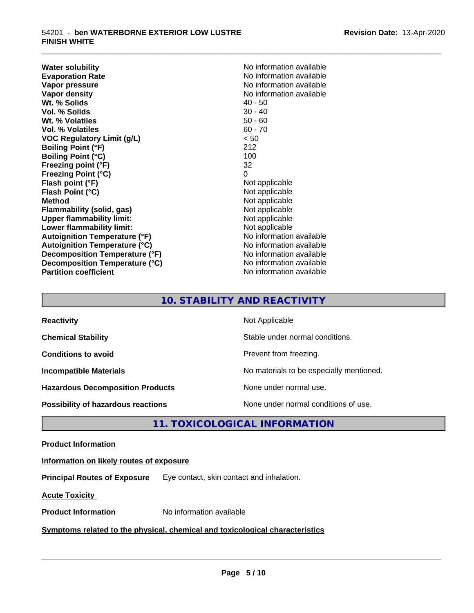**Water solubility**<br> **Evaporation Rate**<br> **Evaporation Rate**<br> **Evaporation Rate Evaporation Rate Evaporation Rate** No information available<br> **Vapor pressure** No information available **Vapor density**<br> **We Solids**<br>
We Solids
2019<br>
We Note that the Solid A0 - 50 **Wt. % Solids** 40 - 50<br> **Vol. % Solids** 30 - 40 **Vol. % Solids Wt. % Volatiles** 50 - 60 **Vol. % Volatiles** 60 - 70 **VOC Regulatory Limit (g/L)** < 50 **Boiling Point (°F)** 212 **Boiling Point (°C)** 100 **Freezing point (°F)** 32 **Freezing Point (°C)** 0<br> **Flash point (°F)** 0<br>
Not applicable **Flash point (°F)** Not applicable **Flash Point (°C) Method**<br> **Flammability (solid, gas)**<br> **Example 2018** Not applicable **Flammability** (solid, gas) **Upper flammability limit:** Not applicable **Lower flammability limit:**<br> **Autoignition Temperature (°F)** Not applicable Not applicable available **Autoignition Temperature (°F) Autoignition Temperature (°C)** No information available **Decomposition Temperature (°F)** No information available **Decomposition Temperature (°C)** No information available **Partition coefficient** No information available

**No information available** 

\_\_\_\_\_\_\_\_\_\_\_\_\_\_\_\_\_\_\_\_\_\_\_\_\_\_\_\_\_\_\_\_\_\_\_\_\_\_\_\_\_\_\_\_\_\_\_\_\_\_\_\_\_\_\_\_\_\_\_\_\_\_\_\_\_\_\_\_\_\_\_\_\_\_\_\_\_\_\_\_\_\_\_\_\_\_\_\_\_\_\_\_\_

## **10. STABILITY AND REACTIVITY**

| <b>Reactivity</b>                         | Not Applicable                           |
|-------------------------------------------|------------------------------------------|
| <b>Chemical Stability</b>                 | Stable under normal conditions.          |
| <b>Conditions to avoid</b>                | Prevent from freezing.                   |
| <b>Incompatible Materials</b>             | No materials to be especially mentioned. |
| <b>Hazardous Decomposition Products</b>   | None under normal use.                   |
| <b>Possibility of hazardous reactions</b> | None under normal conditions of use.     |

## **11. TOXICOLOGICAL INFORMATION**

#### **Product Information**

#### **Information on likely routes of exposure**

**Principal Routes of Exposure** Eye contact, skin contact and inhalation.

**Acute Toxicity** 

**Product Information** No information available

#### **Symptoms related to the physical,chemical and toxicological characteristics**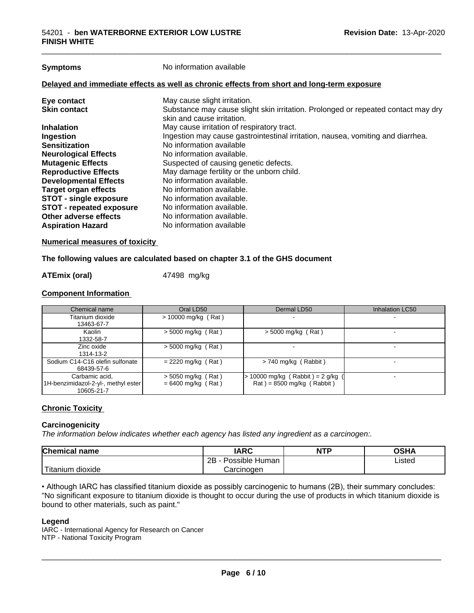| <b>Symptoms</b>               | No information available                                                                                        |
|-------------------------------|-----------------------------------------------------------------------------------------------------------------|
|                               | Delayed and immediate effects as well as chronic effects from short and long-term exposure                      |
| Eye contact                   | May cause slight irritation.                                                                                    |
| <b>Skin contact</b>           | Substance may cause slight skin irritation. Prolonged or repeated contact may dry<br>skin and cause irritation. |
| <b>Inhalation</b>             | May cause irritation of respiratory tract.                                                                      |
| Ingestion                     | Ingestion may cause gastrointestinal irritation, nausea, vomiting and diarrhea.                                 |
| <b>Sensitization</b>          | No information available                                                                                        |
| <b>Neurological Effects</b>   | No information available.                                                                                       |
| <b>Mutagenic Effects</b>      | Suspected of causing genetic defects.                                                                           |
| <b>Reproductive Effects</b>   | May damage fertility or the unborn child.                                                                       |
| <b>Developmental Effects</b>  | No information available.                                                                                       |
| <b>Target organ effects</b>   | No information available.                                                                                       |
| <b>STOT - single exposure</b> | No information available.                                                                                       |
| STOT - repeated exposure      | No information available.                                                                                       |
| Other adverse effects         | No information available.                                                                                       |
| <b>Aspiration Hazard</b>      | No information available                                                                                        |

**Numerical measures of toxicity**

#### **The following values are calculated based on chapter 3.1 of the GHS document**

#### **ATEmix (oral)** 47498 mg/kg

#### **Component Information**

| Chemical name                                                       | Oral LD50                                    | Dermal LD50                                                    | Inhalation LC50 |
|---------------------------------------------------------------------|----------------------------------------------|----------------------------------------------------------------|-----------------|
| Titanium dioxide<br>13463-67-7                                      | $>$ 10000 mg/kg (Rat)                        |                                                                |                 |
| Kaolin<br>1332-58-7                                                 | $>$ 5000 mg/kg (Rat)                         | $>$ 5000 mg/kg (Rat)                                           |                 |
| Zinc oxide<br>1314-13-2                                             | $>$ 5000 mg/kg (Rat)                         |                                                                |                 |
| Sodium C14-C16 olefin sulfonate<br>68439-57-6                       | $= 2220$ mg/kg (Rat)                         | $> 740$ mg/kg (Rabbit)                                         |                 |
| Carbamic acid,<br>1H-benzimidazol-2-yl-, methyl ester<br>10605-21-7 | $>$ 5050 mg/kg (Rat)<br>$= 6400$ mg/kg (Rat) | 10000 mg/kg (Rabbit) = $2$ g/kg<br>$Rat$ = 8500 mg/kg (Rabbit) |                 |

#### **Chronic Toxicity**

#### **Carcinogenicity**

*The information below indicateswhether each agency has listed any ingredient as a carcinogen:.*

| <b>Chemical name</b>       | <b>IARC</b>                  | NTP | ດເ⊔∧<br>∪אח |
|----------------------------|------------------------------|-----|-------------|
|                            | .<br>2B<br>Possible<br>Human |     | Listed      |
| .<br>. dioxide<br>ïtanium. | Carcinogen                   |     |             |

• Although IARC has classified titanium dioxide as possibly carcinogenic to humans (2B), their summary concludes: "No significant exposure to titanium dioxide is thought to occur during the use of products in which titanium dioxide is bound to other materials, such as paint."

#### **Legend**

IARC - International Agency for Research on Cancer NTP - National Toxicity Program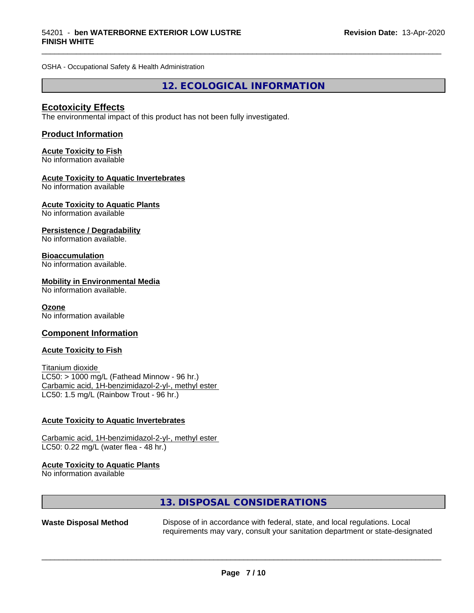OSHA - Occupational Safety & Health Administration

**12. ECOLOGICAL INFORMATION**

\_\_\_\_\_\_\_\_\_\_\_\_\_\_\_\_\_\_\_\_\_\_\_\_\_\_\_\_\_\_\_\_\_\_\_\_\_\_\_\_\_\_\_\_\_\_\_\_\_\_\_\_\_\_\_\_\_\_\_\_\_\_\_\_\_\_\_\_\_\_\_\_\_\_\_\_\_\_\_\_\_\_\_\_\_\_\_\_\_\_\_\_\_

#### **Ecotoxicity Effects**

The environmental impact of this product has not been fully investigated.

#### **Product Information**

## **Acute Toxicity to Fish**

No information available

#### **Acute Toxicity to Aquatic Invertebrates**

No information available

#### **Acute Toxicity to Aquatic Plants**

No information available

#### **Persistence / Degradability**

No information available.

#### **Bioaccumulation**

No information available.

#### **Mobility in Environmental Media**

No information available.

#### **Ozone**

No information available

#### **Component Information**

#### **Acute Toxicity to Fish**

Titanium dioxide  $LC50:$  > 1000 mg/L (Fathead Minnow - 96 hr.) Carbamic acid, 1H-benzimidazol-2-yl-, methyl ester LC50: 1.5 mg/L (Rainbow Trout - 96 hr.)

#### **Acute Toxicity to Aquatic Invertebrates**

Carbamic acid, 1H-benzimidazol-2-yl-, methyl ester LC50: 0.22 mg/L (water flea - 48 hr.)

#### **Acute Toxicity to Aquatic Plants**

No information available

## **13. DISPOSAL CONSIDERATIONS**

**Waste Disposal Method** Dispose of in accordance with federal, state, and local regulations. Local requirements may vary, consult your sanitation department or state-designated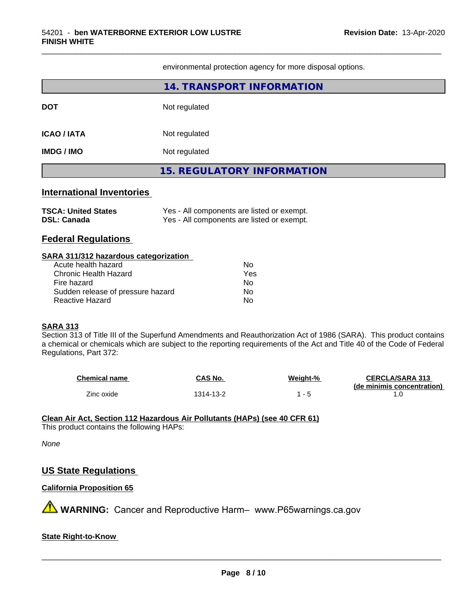environmental protection agency for more disposal options.

\_\_\_\_\_\_\_\_\_\_\_\_\_\_\_\_\_\_\_\_\_\_\_\_\_\_\_\_\_\_\_\_\_\_\_\_\_\_\_\_\_\_\_\_\_\_\_\_\_\_\_\_\_\_\_\_\_\_\_\_\_\_\_\_\_\_\_\_\_\_\_\_\_\_\_\_\_\_\_\_\_\_\_\_\_\_\_\_\_\_\_\_\_

|                                                                                                         | 14. TRANSPORT INFORMATION                                                                |  |  |
|---------------------------------------------------------------------------------------------------------|------------------------------------------------------------------------------------------|--|--|
| <b>DOT</b>                                                                                              | Not regulated                                                                            |  |  |
| <b>ICAO/IATA</b>                                                                                        | Not regulated                                                                            |  |  |
| <b>IMDG / IMO</b>                                                                                       | Not regulated                                                                            |  |  |
|                                                                                                         | <b>15. REGULATORY INFORMATION</b>                                                        |  |  |
| <b>International Inventories</b>                                                                        |                                                                                          |  |  |
| <b>TSCA: United States</b><br><b>DSL: Canada</b>                                                        | Yes - All components are listed or exempt.<br>Yes - All components are listed or exempt. |  |  |
| <b>Federal Regulations</b>                                                                              |                                                                                          |  |  |
| SARA 311/312 hazardous categorization                                                                   |                                                                                          |  |  |
| Acute health hazard<br><b>Chronic Health Hazard</b><br>Fire hazard<br>Sudden release of pressure hazard | <b>No</b><br>Yes<br>No.<br>No                                                            |  |  |
| <b>Reactive Hazard</b>                                                                                  | No                                                                                       |  |  |

Regulations, Part 372:

| Chemical name | CAS No.   | Weight-% | <b>CERCLA/SARA 313</b>     |
|---------------|-----------|----------|----------------------------|
|               |           |          | (de minimis concentration) |
| Zinc oxide    | 1314-13-2 |          |                            |

#### **Clean Air Act,Section 112 Hazardous Air Pollutants (HAPs) (see 40 CFR 61)**

This product contains the following HAPs:

#### *None*

#### **US State Regulations**

## **California Proposition 65**

**A** WARNING: Cancer and Reproductive Harm– www.P65warnings.ca.gov

## **State Right-to-Know**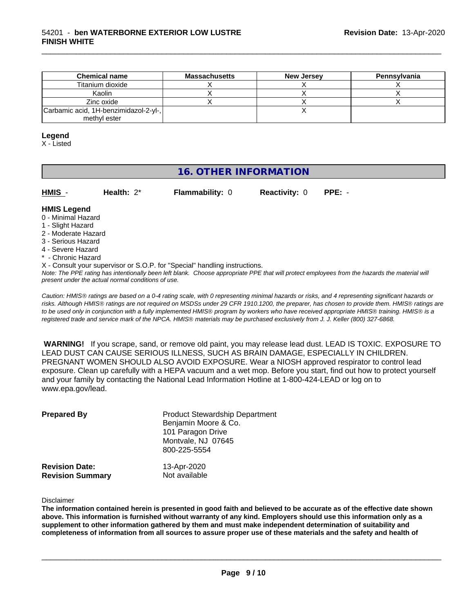| <b>Chemical name</b>                  | <b>Massachusetts</b> | <b>New Jersey</b> | Pennsylvania |
|---------------------------------------|----------------------|-------------------|--------------|
| Titanium dioxide                      |                      |                   |              |
| Kaolin                                |                      |                   |              |
| Zinc oxide                            |                      |                   |              |
| Carbamic acid, 1H-benzimidazol-2-yl-, |                      |                   |              |
| methyl ester                          |                      |                   |              |

#### **Legend**

X - Listed

## **16. OTHER INFORMATION**

| <b>HMIS</b> |  |  |  |  |  |
|-------------|--|--|--|--|--|
|-------------|--|--|--|--|--|

**Health:**  $2^*$  **Flammability:** 0 **Reactivity:** 0 **PPE:** -

\_\_\_\_\_\_\_\_\_\_\_\_\_\_\_\_\_\_\_\_\_\_\_\_\_\_\_\_\_\_\_\_\_\_\_\_\_\_\_\_\_\_\_\_\_\_\_\_\_\_\_\_\_\_\_\_\_\_\_\_\_\_\_\_\_\_\_\_\_\_\_\_\_\_\_\_\_\_\_\_\_\_\_\_\_\_\_\_\_\_\_\_\_

## **HMIS Legend**

- 0 Minimal Hazard
- 1 Slight Hazard
- 2 Moderate Hazard
- 3 Serious Hazard
- 4 Severe Hazard
- \* Chronic Hazard
- X Consult your supervisor or S.O.P. for "Special" handling instructions.

*Note: The PPE rating has intentionally been left blank. Choose appropriate PPE that will protect employees from the hazards the material will present under the actual normal conditions of use.*

*Caution: HMISÒ ratings are based on a 0-4 rating scale, with 0 representing minimal hazards or risks, and 4 representing significant hazards or risks. Although HMISÒ ratings are not required on MSDSs under 29 CFR 1910.1200, the preparer, has chosen to provide them. HMISÒ ratings are to be used only in conjunction with a fully implemented HMISÒ program by workers who have received appropriate HMISÒ training. HMISÒ is a registered trade and service mark of the NPCA. HMISÒ materials may be purchased exclusively from J. J. Keller (800) 327-6868.*

 **WARNING!** If you scrape, sand, or remove old paint, you may release lead dust. LEAD IS TOXIC. EXPOSURE TO LEAD DUST CAN CAUSE SERIOUS ILLNESS, SUCH AS BRAIN DAMAGE, ESPECIALLY IN CHILDREN. PREGNANT WOMEN SHOULD ALSO AVOID EXPOSURE.Wear a NIOSH approved respirator to control lead exposure. Clean up carefully with a HEPA vacuum and a wet mop. Before you start, find out how to protect yourself and your family by contacting the National Lead Information Hotline at 1-800-424-LEAD or log on to www.epa.gov/lead.

| <b>Prepared By</b>                               | <b>Product Stewardship Department</b><br>Benjamin Moore & Co.<br>101 Paragon Drive<br>Montvale, NJ 07645<br>800-225-5554 |  |
|--------------------------------------------------|--------------------------------------------------------------------------------------------------------------------------|--|
| <b>Revision Date:</b><br><b>Revision Summary</b> | 13-Apr-2020<br>Not available                                                                                             |  |

Disclaimer

The information contained herein is presented in good faith and believed to be accurate as of the effective date shown above. This information is furnished without warranty of any kind. Employers should use this information only as a **supplement to other information gathered by them and must make independent determination of suitability and** completeness of information from all sources to assure proper use of these materials and the safety and health of